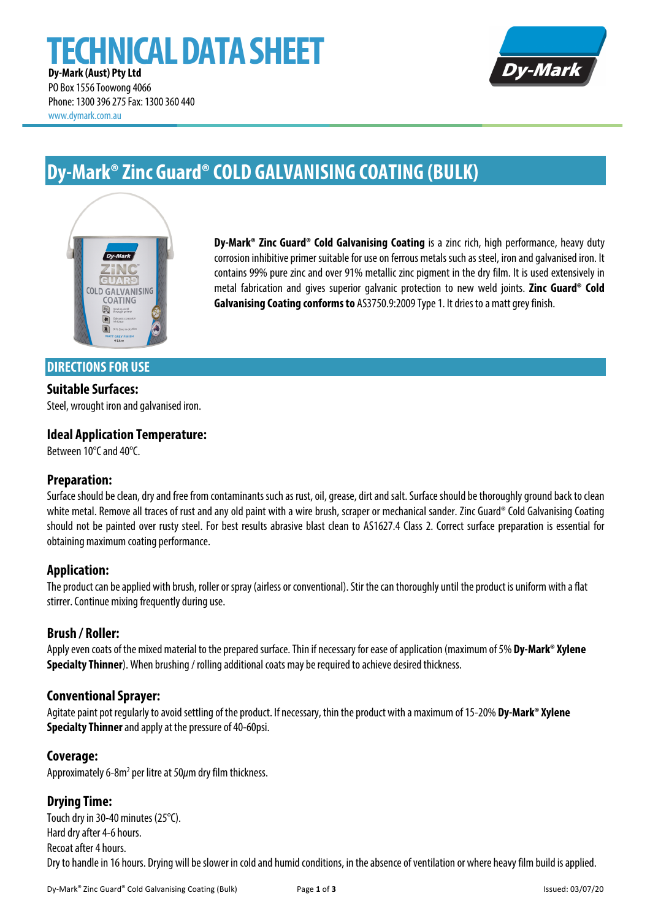# **TECHNICAL DATA SHEET Dy-Mark (Aust) Pty Ltd**



PO Box 1556 Toowong 4066 Phone: 1300 396 275Fax: 1300 360 440 www.dymark.com.au

# **Dy-Mark®Zinc Guard®COLD GALVANISING COATING (BULK)**



**Dy-Mark® Zinc Guard® Cold Galvanising Coating** is a zinc rich, high performance, heavy duty corrosion inhibitive primer suitable for use on ferrous metals such as steel, iron and galvanised iron. It contains 99% pure zinc and over 91% metallic zinc pigment in the dry film. It is used extensively in metal fabrication and gives superior galvanic protection to new weld joints. **Zinc Guard® Cold Galvanising Coating conforms to** AS3750.9:2009 Type 1. Itdries to a matt grey finish.

## **DIRECTIONS FOR USE**

### **Suitable Surfaces:**

Steel, wrought iron and galvanised iron.

## **Ideal Application Temperature:**

Between 10°C and 40°C.

#### **Preparation:**

Surface should be clean, dry and free from contaminants such as rust, oil, grease, dirt and salt. Surface should be thoroughly groundback to clean white metal. Remove all traces of rust and any old paint with a wire brush, scraper or mechanical sander. Zinc Guard® Cold Galvanising Coating should not be painted over rusty steel. For best results abrasive blast clean to AS1627.4 Class 2. Correct surface preparation is essential for obtaining maximum coating performance.

## **Application:**

The product can be applied with brush, roller or spray (airless or conventional). Stir the can thoroughly until the product is uniform with a flat stirrer. Continue mixing frequently during use.

#### **Brush / Roller:**

Apply even coats of the mixed material to the prepared surface. Thin if necessaryfor ease of application (maximum of 5% **Dy-Mark® Xylene Specialty Thinner**).When brushing / rolling additional coats may be required to achieve desired thickness.

#### **Conventional Sprayer:**

Agitate paint pot regularly to avoid settling of the product. If necessary, thin the product with a maximum of 15-20% **Dy-Mark® Xylene Specialty Thinner**and apply at the pressure of 40-60psi.

#### **Coverage:**

Approximately 6-8m<sup>2</sup> per litre at 50 $\mu$ m dry film thickness.

## **Drying Time:**

Touch dry in 30-40 minutes (25°C). Hard dry after 4-6 hours. Recoat after 4 hours. Dry to handle in 16 hours. Drying will be slower in cold and humid conditions, in the absence of ventilation or where heavy film build is applied.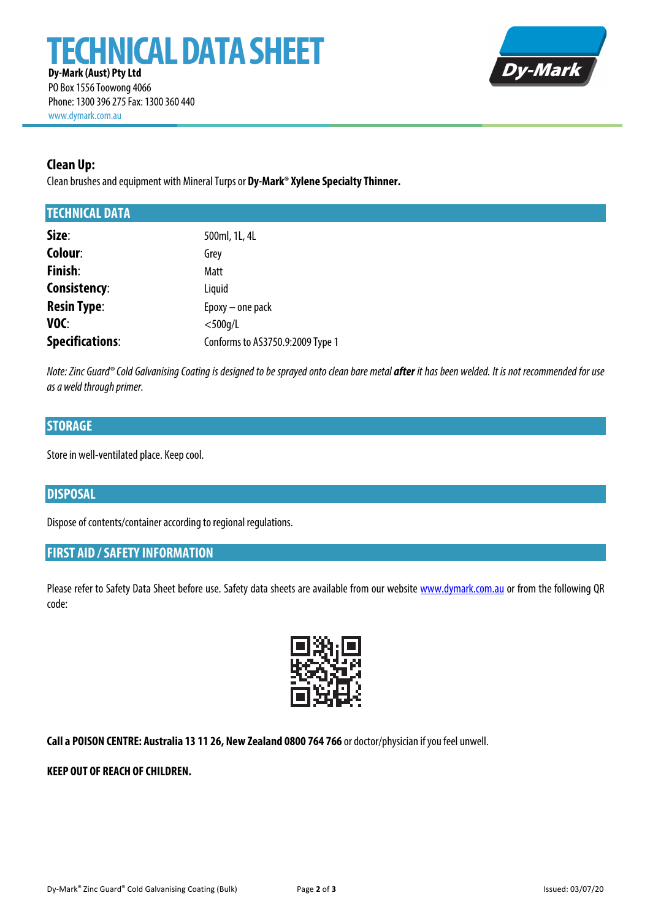

PO Box 1556 Toowong 4066 Phone: 1300 396 275Fax: 1300 360 440 www.dymark.com.au

## **Clean Up:**

Clean brushes and equipment with Mineral Turps or **Dy-Mark® Xylene Specialty Thinner.** 

### **TECHNICAL DATA**

| Size:                  | 500ml, 1L, 4L                    |
|------------------------|----------------------------------|
| Colour:                | Grey                             |
| <b>Finish:</b>         | Matt                             |
| Consistency:           | Liquid                           |
| <b>Resin Type:</b>     | Epoxy - one pack                 |
| VOC:                   | $<$ 500q/L                       |
| <b>Specifications:</b> | Conforms to AS3750.9:2009 Type 1 |

*Note: Zinc Guard® Cold Galvanising Coating is designed to be sprayed onto clean bare metal after <i>it has been welded. It is not recommended for use as a weld through primer.*

## **STORAGE**

Store in well-ventilated place. Keep cool.

## **DISPOSAL**

Dispose of contents/container according to regional regulations.

## **FIRST AID / SAFETY INFORMATION**

Please refer to Safety Data Sheet before use. Safety data sheets are available from our website www.dymark.com.au or from the following QR code:



**Call a POISON CENTRE: Australia 13 11 26, New Zealand 0800 764 766** or doctor/physician if you feel unwell.

#### **KEEP OUT OF REACH OF CHILDREN.**